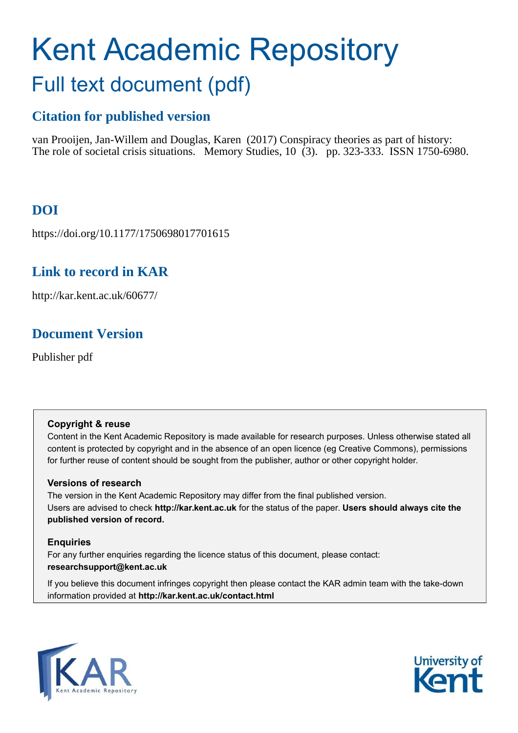# Kent Academic Repository Full text document (pdf)

# **Citation for published version**

van Prooijen, Jan-Willem and Douglas, Karen (2017) Conspiracy theories as part of history: The role of societal crisis situations. Memory Studies, 10 (3). pp. 323-333. ISSN 1750-6980.

# **DOI**

https://doi.org/10.1177/1750698017701615

# **Link to record in KAR**

http://kar.kent.ac.uk/60677/

# **Document Version**

Publisher pdf

## **Copyright & reuse**

Content in the Kent Academic Repository is made available for research purposes. Unless otherwise stated all content is protected by copyright and in the absence of an open licence (eg Creative Commons), permissions for further reuse of content should be sought from the publisher, author or other copyright holder.

## **Versions of research**

The version in the Kent Academic Repository may differ from the final published version. Users are advised to check **http://kar.kent.ac.uk** for the status of the paper. **Users should always cite the published version of record.**

## **Enquiries**

For any further enquiries regarding the licence status of this document, please contact: **researchsupport@kent.ac.uk**

If you believe this document infringes copyright then please contact the KAR admin team with the take-down information provided at **http://kar.kent.ac.uk/contact.html**



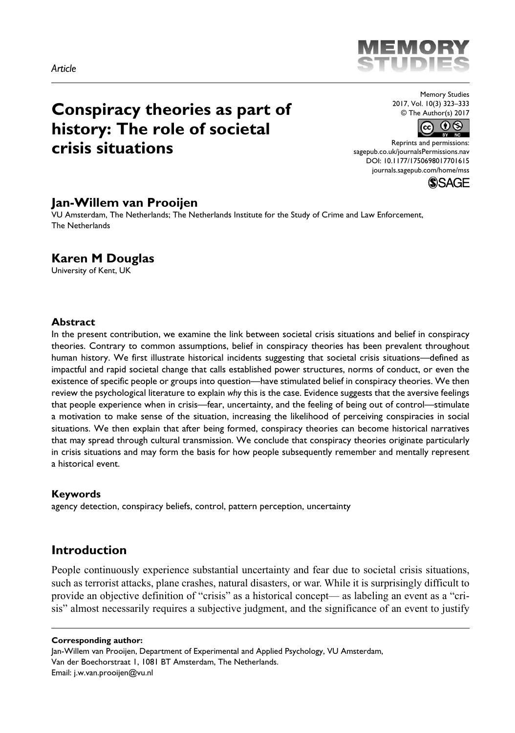

# **Conspiracy theories as part of history: The role of societal crisis situations**

Memory Studies 2017, Vol. 10(3) 323-333 © The Author(s) 2017



Reprints and permissions: [sagepub.co.uk/journalsPermissions.nav](https://uk.sagepub.com/en-gb/journals-permissions) [DOI: 10.1177/1750698017701615](http://doi.org/10.1177/1750698017701615) [journals.sagepub.com/home/mss](https://journals.sagepub.com/home/mss)



## **Jan-Willem van Prooijen**

VU Amsterdam, The Netherlands; The Netherlands Institute for the Study of Crime and Law Enforcement, The Netherlands

## **Karen M Douglas**

University of Kent, UK

#### **Abstract**

In the present contribution, we examine the link between societal crisis situations and belief in conspiracy theories. Contrary to common assumptions, belief in conspiracy theories has been prevalent throughout human history. We first illustrate historical incidents suggesting that societal crisis situations—defined as impactful and rapid societal change that calls established power structures, norms of conduct, or even the existence of specific people or groups into question—have stimulated belief in conspiracy theories. We then review the psychological literature to explain *why* this is the case. Evidence suggests that the aversive feelings that people experience when in crisis—fear, uncertainty, and the feeling of being out of control—stimulate a motivation to make sense of the situation, increasing the likelihood of perceiving conspiracies in social situations. We then explain that after being formed, conspiracy theories can become historical narratives that may spread through cultural transmission. We conclude that conspiracy theories originate particularly in crisis situations and may form the basis for how people subsequently remember and mentally represent a historical event.

#### **Keywords**

agency detection, conspiracy beliefs, control, pattern perception, uncertainty

## **Introduction**

People continuously experience substantial uncertainty and fear due to societal crisis situations, such as terrorist attacks, plane crashes, natural disasters, or war. While it is surprisingly difficult to provide an objective definition of "crisis" as a historical concept— as labeling an event as a "crisis" almost necessarily requires a subjective judgment, and the significance of an event to justify

**Corresponding author:**

Jan-Willem van Prooijen, Department of Experimental and Applied Psychology, VU Amsterdam, Van der Boechorstraat 1, 1081 BT Amsterdam, The Netherlands.

Email: [j.w.van.prooijen@vu.nl](mailto:j.w.van.prooijen@vu.nl)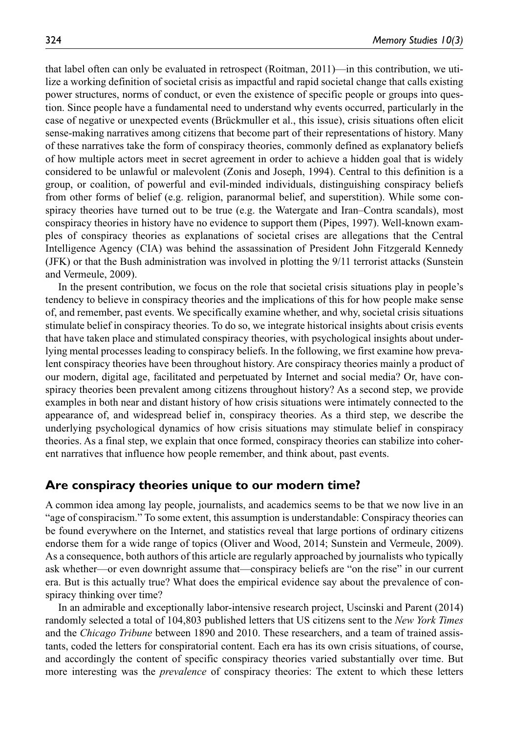that label often can only be evaluated in retrospect (Roitman, 2011)—in this contribution, we utilize a working definition of societal crisis as impactful and rapid societal change that calls existing power structures, norms of conduct, or even the existence of specific people or groups into question. Since people have a fundamental need to understand why events occurred, particularly in the case of negative or unexpected events (Brückmuller et al., this issue), crisis situations often elicit sense-making narratives among citizens that become part of their representations of history. Many of these narratives take the form of conspiracy theories, commonly defined as explanatory beliefs of how multiple actors meet in secret agreement in order to achieve a hidden goal that is widely considered to be unlawful or malevolent (Zonis and Joseph, 1994). Central to this definition is a group, or coalition, of powerful and evil-minded individuals, distinguishing conspiracy beliefs from other forms of belief (e.g. religion, paranormal belief, and superstition). While some conspiracy theories have turned out to be true (e.g. the Watergate and Iran–Contra scandals), most conspiracy theories in history have no evidence to support them (Pipes, 1997). Well-known examples of conspiracy theories as explanations of societal crises are allegations that the Central Intelligence Agency (CIA) was behind the assassination of President John Fitzgerald Kennedy (JFK) or that the Bush administration was involved in plotting the 9/11 terrorist attacks (Sunstein and Vermeule, 2009).

In the present contribution, we focus on the role that societal crisis situations play in people's tendency to believe in conspiracy theories and the implications of this for how people make sense of, and remember, past events. We specifically examine whether, and why, societal crisis situations stimulate belief in conspiracy theories. To do so, we integrate historical insights about crisis events that have taken place and stimulated conspiracy theories, with psychological insights about underlying mental processes leading to conspiracy beliefs. In the following, we first examine how prevalent conspiracy theories have been throughout history. Are conspiracy theories mainly a product of our modern, digital age, facilitated and perpetuated by Internet and social media? Or, have conspiracy theories been prevalent among citizens throughout history? As a second step, we provide examples in both near and distant history of how crisis situations were intimately connected to the appearance of, and widespread belief in, conspiracy theories. As a third step, we describe the underlying psychological dynamics of how crisis situations may stimulate belief in conspiracy theories. As a final step, we explain that once formed, conspiracy theories can stabilize into coherent narratives that influence how people remember, and think about, past events.

#### **Are conspiracy theories unique to our modern time?**

A common idea among lay people, journalists, and academics seems to be that we now live in an "age of conspiracism." To some extent, this assumption is understandable: Conspiracy theories can be found everywhere on the Internet, and statistics reveal that large portions of ordinary citizens endorse them for a wide range of topics (Oliver and Wood, 2014; Sunstein and Vermeule, 2009). As a consequence, both authors of this article are regularly approached by journalists who typically ask whether—or even downright assume that—conspiracy beliefs are "on the rise" in our current era. But is this actually true? What does the empirical evidence say about the prevalence of conspiracy thinking over time?

In an admirable and exceptionally labor-intensive research project, Uscinski and Parent (2014) randomly selected a total of 104,803 published letters that US citizens sent to the *New York Times* and the *Chicago Tribune* between 1890 and 2010. These researchers, and a team of trained assistants, coded the letters for conspiratorial content. Each era has its own crisis situations, of course, and accordingly the content of specific conspiracy theories varied substantially over time. But more interesting was the *prevalence* of conspiracy theories: The extent to which these letters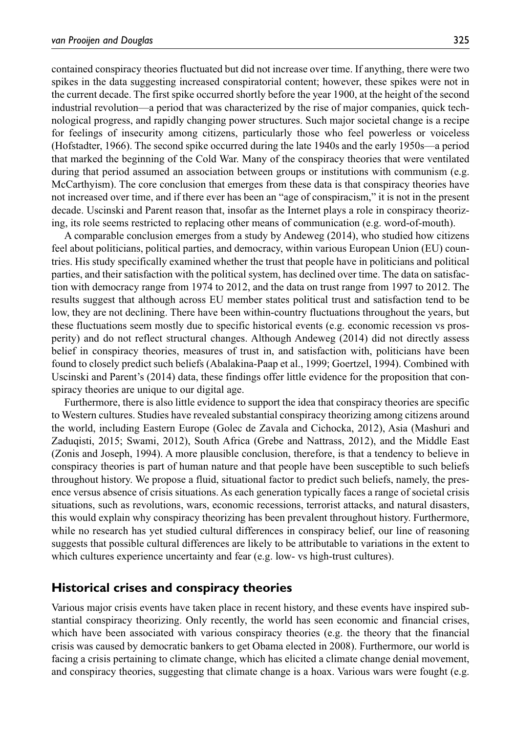contained conspiracy theories fluctuated but did not increase over time. If anything, there were two spikes in the data suggesting increased conspiratorial content; however, these spikes were not in the current decade. The first spike occurred shortly before the year 1900, at the height of the second industrial revolution—a period that was characterized by the rise of major companies, quick technological progress, and rapidly changing power structures. Such major societal change is a recipe for feelings of insecurity among citizens, particularly those who feel powerless or voiceless (Hofstadter, 1966). The second spike occurred during the late 1940s and the early 1950s—a period that marked the beginning of the Cold War. Many of the conspiracy theories that were ventilated during that period assumed an association between groups or institutions with communism (e.g. McCarthyism). The core conclusion that emerges from these data is that conspiracy theories have not increased over time, and if there ever has been an "age of conspiracism," it is not in the present decade. Uscinski and Parent reason that, insofar as the Internet plays a role in conspiracy theorizing, its role seems restricted to replacing other means of communication (e.g. word-of-mouth).

A comparable conclusion emerges from a study by Andeweg (2014), who studied how citizens feel about politicians, political parties, and democracy, within various European Union (EU) countries. His study specifically examined whether the trust that people have in politicians and political parties, and their satisfaction with the political system, has declined over time. The data on satisfaction with democracy range from 1974 to 2012, and the data on trust range from 1997 to 2012. The results suggest that although across EU member states political trust and satisfaction tend to be low, they are not declining. There have been within-country fluctuations throughout the years, but these fluctuations seem mostly due to specific historical events (e.g. economic recession vs prosperity) and do not reflect structural changes. Although Andeweg (2014) did not directly assess belief in conspiracy theories, measures of trust in, and satisfaction with, politicians have been found to closely predict such beliefs (Abalakina-Paap et al., 1999; Goertzel, 1994). Combined with Uscinski and Parent's (2014) data, these findings offer little evidence for the proposition that conspiracy theories are unique to our digital age.

Furthermore, there is also little evidence to support the idea that conspiracy theories are specific to Western cultures. Studies have revealed substantial conspiracy theorizing among citizens around the world, including Eastern Europe (Golec de Zavala and Cichocka, 2012), Asia (Mashuri and Zaduqisti, 2015; Swami, 2012), South Africa (Grebe and Nattrass, 2012), and the Middle East (Zonis and Joseph, 1994). A more plausible conclusion, therefore, is that a tendency to believe in conspiracy theories is part of human nature and that people have been susceptible to such beliefs throughout history. We propose a fluid, situational factor to predict such beliefs, namely, the presence versus absence of crisis situations. As each generation typically faces a range of societal crisis situations, such as revolutions, wars, economic recessions, terrorist attacks, and natural disasters, this would explain why conspiracy theorizing has been prevalent throughout history. Furthermore, while no research has yet studied cultural differences in conspiracy belief, our line of reasoning suggests that possible cultural differences are likely to be attributable to variations in the extent to which cultures experience uncertainty and fear (e.g. low- vs high-trust cultures).

#### **Historical crises and conspiracy theories**

Various major crisis events have taken place in recent history, and these events have inspired substantial conspiracy theorizing. Only recently, the world has seen economic and financial crises, which have been associated with various conspiracy theories (e.g. the theory that the financial crisis was caused by democratic bankers to get Obama elected in 2008). Furthermore, our world is facing a crisis pertaining to climate change, which has elicited a climate change denial movement, and conspiracy theories, suggesting that climate change is a hoax. Various wars were fought (e.g.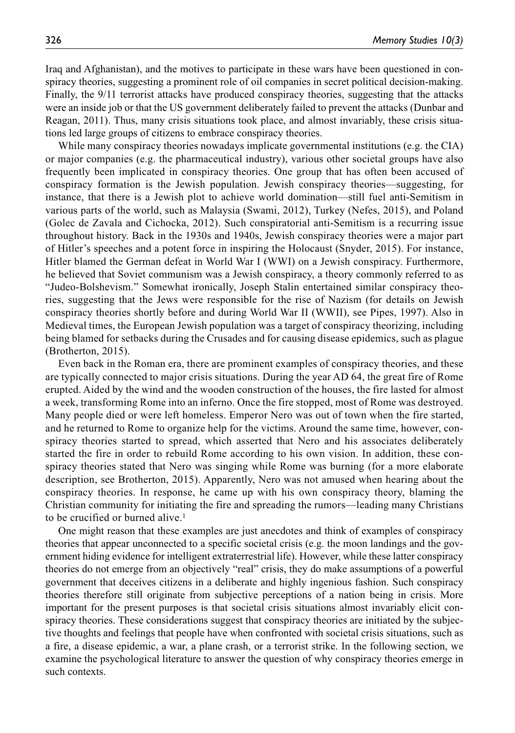Iraq and Afghanistan), and the motives to participate in these wars have been questioned in conspiracy theories, suggesting a prominent role of oil companies in secret political decision-making. Finally, the 9/11 terrorist attacks have produced conspiracy theories, suggesting that the attacks were an inside job or that the US government deliberately failed to prevent the attacks (Dunbar and Reagan, 2011). Thus, many crisis situations took place, and almost invariably, these crisis situations led large groups of citizens to embrace conspiracy theories.

While many conspiracy theories nowadays implicate governmental institutions (e.g. the CIA) or major companies (e.g. the pharmaceutical industry), various other societal groups have also frequently been implicated in conspiracy theories. One group that has often been accused of conspiracy formation is the Jewish population. Jewish conspiracy theories—suggesting, for instance, that there is a Jewish plot to achieve world domination—still fuel anti-Semitism in various parts of the world, such as Malaysia (Swami, 2012), Turkey (Nefes, 2015), and Poland (Golec de Zavala and Cichocka, 2012). Such conspiratorial anti-Semitism is a recurring issue throughout history. Back in the 1930s and 1940s, Jewish conspiracy theories were a major part of Hitler's speeches and a potent force in inspiring the Holocaust (Snyder, 2015). For instance, Hitler blamed the German defeat in World War I (WWI) on a Jewish conspiracy. Furthermore, he believed that Soviet communism was a Jewish conspiracy, a theory commonly referred to as "Judeo-Bolshevism." Somewhat ironically, Joseph Stalin entertained similar conspiracy theories, suggesting that the Jews were responsible for the rise of Nazism (for details on Jewish conspiracy theories shortly before and during World War II (WWII), see Pipes, 1997). Also in Medieval times, the European Jewish population was a target of conspiracy theorizing, including being blamed for setbacks during the Crusades and for causing disease epidemics, such as plague (Brotherton, 2015).

Even back in the Roman era, there are prominent examples of conspiracy theories, and these are typically connected to major crisis situations. During the year AD 64, the great fire of Rome erupted. Aided by the wind and the wooden construction of the houses, the fire lasted for almost a week, transforming Rome into an inferno. Once the fire stopped, most of Rome was destroyed. Many people died or were left homeless. Emperor Nero was out of town when the fire started, and he returned to Rome to organize help for the victims. Around the same time, however, conspiracy theories started to spread, which asserted that Nero and his associates deliberately started the fire in order to rebuild Rome according to his own vision. In addition, these conspiracy theories stated that Nero was singing while Rome was burning (for a more elaborate description, see Brotherton, 2015). Apparently, Nero was not amused when hearing about the conspiracy theories. In response, he came up with his own conspiracy theory, blaming the Christian community for initiating the fire and spreading the rumors—leading many Christians to be crucified or burned alive.<sup>1</sup>

One might reason that these examples are just anecdotes and think of examples of conspiracy theories that appear unconnected to a specific societal crisis (e.g. the moon landings and the government hiding evidence for intelligent extraterrestrial life). However, while these latter conspiracy theories do not emerge from an objectively "real" crisis, they do make assumptions of a powerful government that deceives citizens in a deliberate and highly ingenious fashion. Such conspiracy theories therefore still originate from subjective perceptions of a nation being in crisis. More important for the present purposes is that societal crisis situations almost invariably elicit conspiracy theories. These considerations suggest that conspiracy theories are initiated by the subjective thoughts and feelings that people have when confronted with societal crisis situations, such as a fire, a disease epidemic, a war, a plane crash, or a terrorist strike. In the following section, we examine the psychological literature to answer the question of why conspiracy theories emerge in such contexts.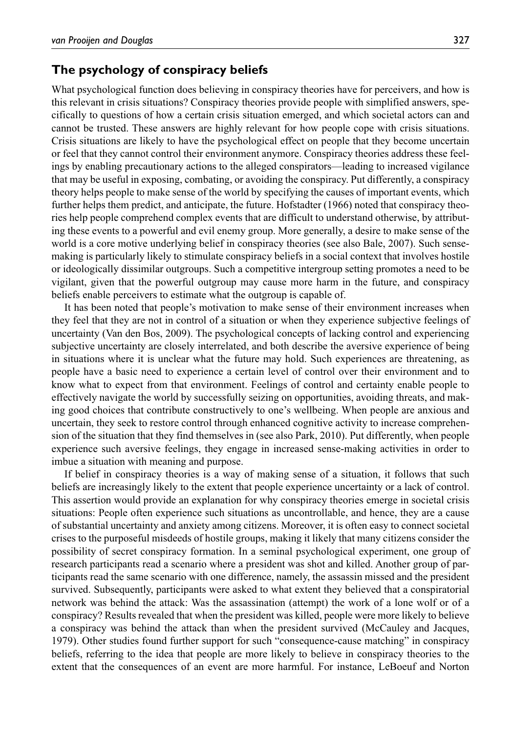#### **The psychology of conspiracy beliefs**

What psychological function does believing in conspiracy theories have for perceivers, and how is this relevant in crisis situations? Conspiracy theories provide people with simplified answers, specifically to questions of how a certain crisis situation emerged, and which societal actors can and cannot be trusted. These answers are highly relevant for how people cope with crisis situations. Crisis situations are likely to have the psychological effect on people that they become uncertain or feel that they cannot control their environment anymore. Conspiracy theories address these feelings by enabling precautionary actions to the alleged conspirators—leading to increased vigilance that may be useful in exposing, combating, or avoiding the conspiracy. Put differently, a conspiracy theory helps people to make sense of the world by specifying the causes of important events, which further helps them predict, and anticipate, the future. Hofstadter (1966) noted that conspiracy theories help people comprehend complex events that are difficult to understand otherwise, by attributing these events to a powerful and evil enemy group. More generally, a desire to make sense of the world is a core motive underlying belief in conspiracy theories (see also Bale, 2007). Such sensemaking is particularly likely to stimulate conspiracy beliefs in a social context that involves hostile or ideologically dissimilar outgroups. Such a competitive intergroup setting promotes a need to be vigilant, given that the powerful outgroup may cause more harm in the future, and conspiracy beliefs enable perceivers to estimate what the outgroup is capable of.

It has been noted that people's motivation to make sense of their environment increases when they feel that they are not in control of a situation or when they experience subjective feelings of uncertainty (Van den Bos, 2009). The psychological concepts of lacking control and experiencing subjective uncertainty are closely interrelated, and both describe the aversive experience of being in situations where it is unclear what the future may hold. Such experiences are threatening, as people have a basic need to experience a certain level of control over their environment and to know what to expect from that environment. Feelings of control and certainty enable people to effectively navigate the world by successfully seizing on opportunities, avoiding threats, and making good choices that contribute constructively to one's wellbeing. When people are anxious and uncertain, they seek to restore control through enhanced cognitive activity to increase comprehension of the situation that they find themselves in (see also Park, 2010). Put differently, when people experience such aversive feelings, they engage in increased sense-making activities in order to imbue a situation with meaning and purpose.

If belief in conspiracy theories is a way of making sense of a situation, it follows that such beliefs are increasingly likely to the extent that people experience uncertainty or a lack of control. This assertion would provide an explanation for why conspiracy theories emerge in societal crisis situations: People often experience such situations as uncontrollable, and hence, they are a cause of substantial uncertainty and anxiety among citizens. Moreover, it is often easy to connect societal crises to the purposeful misdeeds of hostile groups, making it likely that many citizens consider the possibility of secret conspiracy formation. In a seminal psychological experiment, one group of research participants read a scenario where a president was shot and killed. Another group of participants read the same scenario with one difference, namely, the assassin missed and the president survived. Subsequently, participants were asked to what extent they believed that a conspiratorial network was behind the attack: Was the assassination (attempt) the work of a lone wolf or of a conspiracy? Results revealed that when the president was killed, people were more likely to believe a conspiracy was behind the attack than when the president survived (McCauley and Jacques, 1979). Other studies found further support for such "consequence-cause matching" in conspiracy beliefs, referring to the idea that people are more likely to believe in conspiracy theories to the extent that the consequences of an event are more harmful. For instance, LeBoeuf and Norton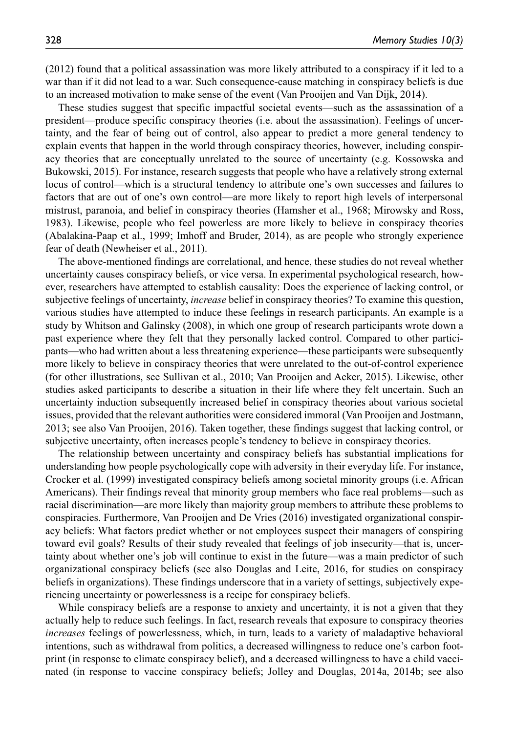(2012) found that a political assassination was more likely attributed to a conspiracy if it led to a war than if it did not lead to a war. Such consequence-cause matching in conspiracy beliefs is due to an increased motivation to make sense of the event (Van Prooijen and Van Dijk, 2014).

These studies suggest that specific impactful societal events—such as the assassination of a president—produce specific conspiracy theories (i.e. about the assassination). Feelings of uncertainty, and the fear of being out of control, also appear to predict a more general tendency to explain events that happen in the world through conspiracy theories, however, including conspiracy theories that are conceptually unrelated to the source of uncertainty (e.g. Kossowska and Bukowski, 2015). For instance, research suggests that people who have a relatively strong external locus of control—which is a structural tendency to attribute one's own successes and failures to factors that are out of one's own control—are more likely to report high levels of interpersonal mistrust, paranoia, and belief in conspiracy theories (Hamsher et al., 1968; Mirowsky and Ross, 1983). Likewise, people who feel powerless are more likely to believe in conspiracy theories (Abalakina-Paap et al., 1999; Imhoff and Bruder, 2014), as are people who strongly experience fear of death (Newheiser et al., 2011).

The above-mentioned findings are correlational, and hence, these studies do not reveal whether uncertainty causes conspiracy beliefs, or vice versa. In experimental psychological research, however, researchers have attempted to establish causality: Does the experience of lacking control, or subjective feelings of uncertainty, *increase* belief in conspiracy theories? To examine this question, various studies have attempted to induce these feelings in research participants. An example is a study by Whitson and Galinsky (2008), in which one group of research participants wrote down a past experience where they felt that they personally lacked control. Compared to other participants—who had written about a less threatening experience—these participants were subsequently more likely to believe in conspiracy theories that were unrelated to the out-of-control experience (for other illustrations, see Sullivan et al., 2010; Van Prooijen and Acker, 2015). Likewise, other studies asked participants to describe a situation in their life where they felt uncertain. Such an uncertainty induction subsequently increased belief in conspiracy theories about various societal issues, provided that the relevant authorities were considered immoral (Van Prooijen and Jostmann, 2013; see also Van Prooijen, 2016). Taken together, these findings suggest that lacking control, or subjective uncertainty, often increases people's tendency to believe in conspiracy theories.

The relationship between uncertainty and conspiracy beliefs has substantial implications for understanding how people psychologically cope with adversity in their everyday life. For instance, Crocker et al. (1999) investigated conspiracy beliefs among societal minority groups (i.e. African Americans). Their findings reveal that minority group members who face real problems—such as racial discrimination—are more likely than majority group members to attribute these problems to conspiracies. Furthermore, Van Prooijen and De Vries (2016) investigated organizational conspiracy beliefs: What factors predict whether or not employees suspect their managers of conspiring toward evil goals? Results of their study revealed that feelings of job insecurity—that is, uncertainty about whether one's job will continue to exist in the future—was a main predictor of such organizational conspiracy beliefs (see also Douglas and Leite, 2016, for studies on conspiracy beliefs in organizations). These findings underscore that in a variety of settings, subjectively experiencing uncertainty or powerlessness is a recipe for conspiracy beliefs.

While conspiracy beliefs are a response to anxiety and uncertainty, it is not a given that they actually help to reduce such feelings. In fact, research reveals that exposure to conspiracy theories *increases* feelings of powerlessness, which, in turn, leads to a variety of maladaptive behavioral intentions, such as withdrawal from politics, a decreased willingness to reduce one's carbon footprint (in response to climate conspiracy belief), and a decreased willingness to have a child vaccinated (in response to vaccine conspiracy beliefs; Jolley and Douglas, 2014a, 2014b; see also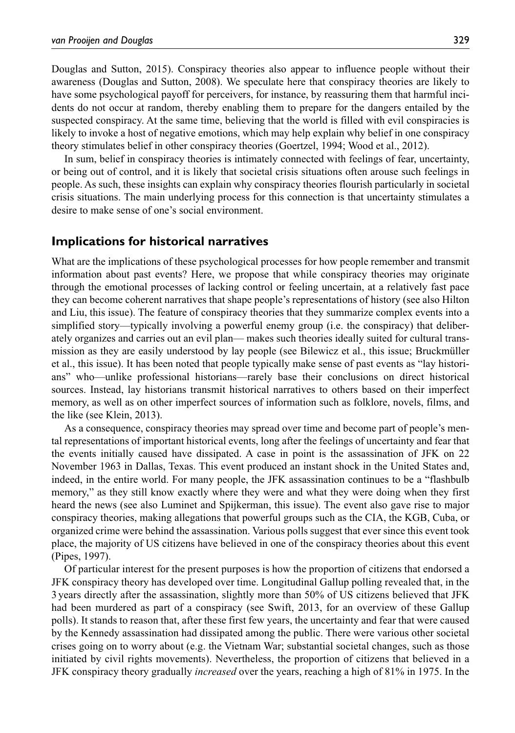Douglas and Sutton, 2015). Conspiracy theories also appear to influence people without their awareness (Douglas and Sutton, 2008). We speculate here that conspiracy theories are likely to have some psychological payoff for perceivers, for instance, by reassuring them that harmful incidents do not occur at random, thereby enabling them to prepare for the dangers entailed by the suspected conspiracy. At the same time, believing that the world is filled with evil conspiracies is likely to invoke a host of negative emotions, which may help explain why belief in one conspiracy theory stimulates belief in other conspiracy theories (Goertzel, 1994; Wood et al., 2012).

In sum, belief in conspiracy theories is intimately connected with feelings of fear, uncertainty, or being out of control, and it is likely that societal crisis situations often arouse such feelings in people. As such, these insights can explain why conspiracy theories flourish particularly in societal crisis situations. The main underlying process for this connection is that uncertainty stimulates a desire to make sense of one's social environment.

#### **Implications for historical narratives**

What are the implications of these psychological processes for how people remember and transmit information about past events? Here, we propose that while conspiracy theories may originate through the emotional processes of lacking control or feeling uncertain, at a relatively fast pace they can become coherent narratives that shape people's representations of history (see also Hilton and Liu, this issue). The feature of conspiracy theories that they summarize complex events into a simplified story—typically involving a powerful enemy group (i.e. the conspiracy) that deliberately organizes and carries out an evil plan— makes such theories ideally suited for cultural transmission as they are easily understood by lay people (see Bilewicz et al., this issue; Bruckmüller et al., this issue). It has been noted that people typically make sense of past events as "lay historians" who—unlike professional historians—rarely base their conclusions on direct historical sources. Instead, lay historians transmit historical narratives to others based on their imperfect memory, as well as on other imperfect sources of information such as folklore, novels, films, and the like (see Klein, 2013).

As a consequence, conspiracy theories may spread over time and become part of people's mental representations of important historical events, long after the feelings of uncertainty and fear that the events initially caused have dissipated. A case in point is the assassination of JFK on 22 November 1963 in Dallas, Texas. This event produced an instant shock in the United States and, indeed, in the entire world. For many people, the JFK assassination continues to be a "flashbulb memory," as they still know exactly where they were and what they were doing when they first heard the news (see also Luminet and Spijkerman, this issue). The event also gave rise to major conspiracy theories, making allegations that powerful groups such as the CIA, the KGB, Cuba, or organized crime were behind the assassination. Various polls suggest that ever since this event took place, the majority of US citizens have believed in one of the conspiracy theories about this event (Pipes, 1997).

Of particular interest for the present purposes is how the proportion of citizens that endorsed a JFK conspiracy theory has developed over time. Longitudinal Gallup polling revealed that, in the 3 years directly after the assassination, slightly more than 50% of US citizens believed that JFK had been murdered as part of a conspiracy (see Swift, 2013, for an overview of these Gallup polls). It stands to reason that, after these first few years, the uncertainty and fear that were caused by the Kennedy assassination had dissipated among the public. There were various other societal crises going on to worry about (e.g. the Vietnam War; substantial societal changes, such as those initiated by civil rights movements). Nevertheless, the proportion of citizens that believed in a JFK conspiracy theory gradually *increased* over the years, reaching a high of 81% in 1975. In the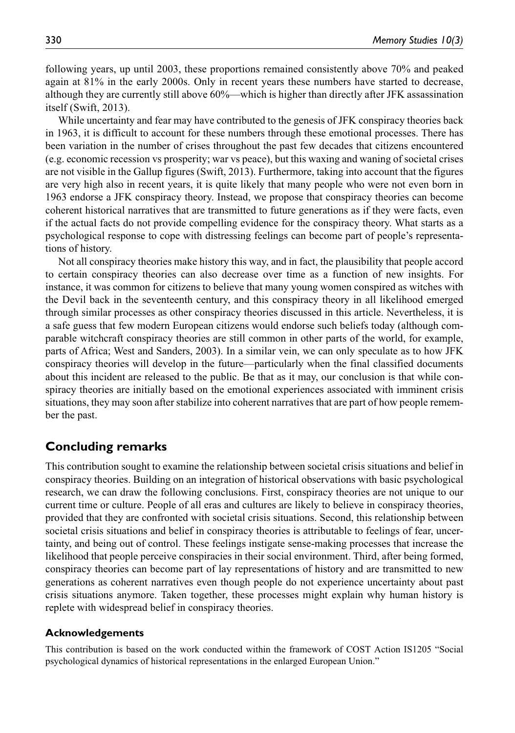following years, up until 2003, these proportions remained consistently above 70% and peaked again at 81% in the early 2000s. Only in recent years these numbers have started to decrease, although they are currently still above 60%—which is higher than directly after JFK assassination itself (Swift, 2013).

While uncertainty and fear may have contributed to the genesis of JFK conspiracy theories back in 1963, it is difficult to account for these numbers through these emotional processes. There has been variation in the number of crises throughout the past few decades that citizens encountered (e.g. economic recession vs prosperity; war vs peace), but this waxing and waning of societal crises are not visible in the Gallup figures (Swift, 2013). Furthermore, taking into account that the figures are very high also in recent years, it is quite likely that many people who were not even born in 1963 endorse a JFK conspiracy theory. Instead, we propose that conspiracy theories can become coherent historical narratives that are transmitted to future generations as if they were facts, even if the actual facts do not provide compelling evidence for the conspiracy theory. What starts as a psychological response to cope with distressing feelings can become part of people's representations of history.

Not all conspiracy theories make history this way, and in fact, the plausibility that people accord to certain conspiracy theories can also decrease over time as a function of new insights. For instance, it was common for citizens to believe that many young women conspired as witches with the Devil back in the seventeenth century, and this conspiracy theory in all likelihood emerged through similar processes as other conspiracy theories discussed in this article. Nevertheless, it is a safe guess that few modern European citizens would endorse such beliefs today (although comparable witchcraft conspiracy theories are still common in other parts of the world, for example, parts of Africa; West and Sanders, 2003). In a similar vein, we can only speculate as to how JFK conspiracy theories will develop in the future—particularly when the final classified documents about this incident are released to the public. Be that as it may, our conclusion is that while conspiracy theories are initially based on the emotional experiences associated with imminent crisis situations, they may soon after stabilize into coherent narratives that are part of how people remember the past.

#### **Concluding remarks**

This contribution sought to examine the relationship between societal crisis situations and belief in conspiracy theories. Building on an integration of historical observations with basic psychological research, we can draw the following conclusions. First, conspiracy theories are not unique to our current time or culture. People of all eras and cultures are likely to believe in conspiracy theories, provided that they are confronted with societal crisis situations. Second, this relationship between societal crisis situations and belief in conspiracy theories is attributable to feelings of fear, uncertainty, and being out of control. These feelings instigate sense-making processes that increase the likelihood that people perceive conspiracies in their social environment. Third, after being formed, conspiracy theories can become part of lay representations of history and are transmitted to new generations as coherent narratives even though people do not experience uncertainty about past crisis situations anymore. Taken together, these processes might explain why human history is replete with widespread belief in conspiracy theories.

#### **Acknowledgements**

This contribution is based on the work conducted within the framework of COST Action IS1205 "Social psychological dynamics of historical representations in the enlarged European Union."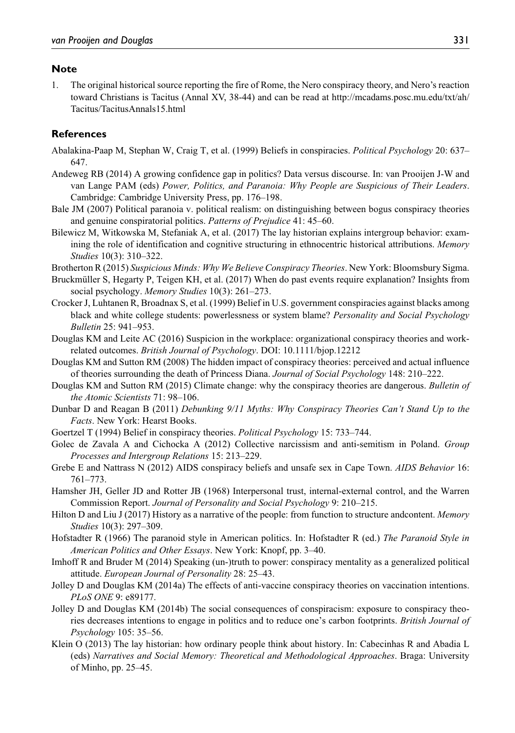#### **Note**

1. The original historical source reporting the fire of Rome, the Nero conspiracy theory, and Nero's reaction toward Christians is Tacitus (Annal XV, 38-44) and can be read at [http://mcadams.posc.mu.edu/txt/ah/](http://mcadams.posc.mu.edu/txt/ah/Tacitus/TacitusAnnals15.html) [Tacitus/TacitusAnnals15.html](http://mcadams.posc.mu.edu/txt/ah/Tacitus/TacitusAnnals15.html)

#### **References**

- Abalakina-Paap M, Stephan W, Craig T, et al. (1999) Beliefs in conspiracies. *Political Psychology* 20: 637– 647.
- Andeweg RB (2014) A growing confidence gap in politics? Data versus discourse. In: van Prooijen J-W and van Lange PAM (eds) *Power, Politics, and Paranoia: Why People are Suspicious of Their Leaders*. Cambridge: Cambridge University Press, pp. 176–198.
- Bale JM (2007) Political paranoia v. political realism: on distinguishing between bogus conspiracy theories and genuine conspiratorial politics. *Patterns of Prejudice* 41: 45–60.
- Bilewicz M, Witkowska M, Stefaniak A, et al. (2017) The lay historian explains intergroup behavior: examining the role of identification and cognitive structuring in ethnocentric historical attributions. *Memory Studies* 10(3): 310–322.
- Brotherton R (2015) *Suspicious Minds: Why We Believe Conspiracy Theories*. New York: Bloomsbury Sigma.
- Bruckmüller S, Hegarty P, Teigen KH, et al. (2017) When do past events require explanation? Insights from social psychology. *Memory Studies* 10(3): 261–273.
- Crocker J, Luhtanen R, Broadnax S, et al. (1999) Belief in U.S. government conspiracies against blacks among black and white college students: powerlessness or system blame? *Personality and Social Psychology Bulletin* 25: 941–953.
- Douglas KM and Leite AC (2016) Suspicion in the workplace: organizational conspiracy theories and workrelated outcomes. *British Journal of Psychology*. DOI: 10.1111/bjop.12212
- Douglas KM and Sutton RM (2008) The hidden impact of conspiracy theories: perceived and actual influence of theories surrounding the death of Princess Diana. *Journal of Social Psychology* 148: 210–222.
- Douglas KM and Sutton RM (2015) Climate change: why the conspiracy theories are dangerous. *Bulletin of the Atomic Scientists* 71: 98–106.
- Dunbar D and Reagan B (2011) *Debunking 9/11 Myths: Why Conspiracy Theories Can't Stand Up to the Facts*. New York: Hearst Books.
- Goertzel T (1994) Belief in conspiracy theories. *Political Psychology* 15: 733–744.
- Golec de Zavala A and Cichocka A (2012) Collective narcissism and anti-semitism in Poland. *Group Processes and Intergroup Relations* 15: 213–229.
- Grebe E and Nattrass N (2012) AIDS conspiracy beliefs and unsafe sex in Cape Town. *AIDS Behavior* 16: 761–773.
- Hamsher JH, Geller JD and Rotter JB (1968) Interpersonal trust, internal-external control, and the Warren Commission Report. *Journal of Personality and Social Psychology* 9: 210–215.
- Hilton D and Liu J (2017) History as a narrative of the people: from function to structure andcontent. *Memory Studies* 10(3): 297–309.
- Hofstadter R (1966) The paranoid style in American politics. In: Hofstadter R (ed.) *The Paranoid Style in American Politics and Other Essays*. New York: Knopf, pp. 3–40.
- Imhoff R and Bruder M (2014) Speaking (un-)truth to power: conspiracy mentality as a generalized political attitude. *European Journal of Personality* 28: 25–43.
- Jolley D and Douglas KM (2014a) The effects of anti-vaccine conspiracy theories on vaccination intentions. *PLoS ONE* 9: e89177.
- Jolley D and Douglas KM (2014b) The social consequences of conspiracism: exposure to conspiracy theories decreases intentions to engage in politics and to reduce one's carbon footprints. *British Journal of Psychology* 105: 35–56.
- Klein O (2013) The lay historian: how ordinary people think about history. In: Cabecinhas R and Abadia L (eds) *Narratives and Social Memory: Theoretical and Methodological Approaches*. Braga: University of Minho, pp. 25–45.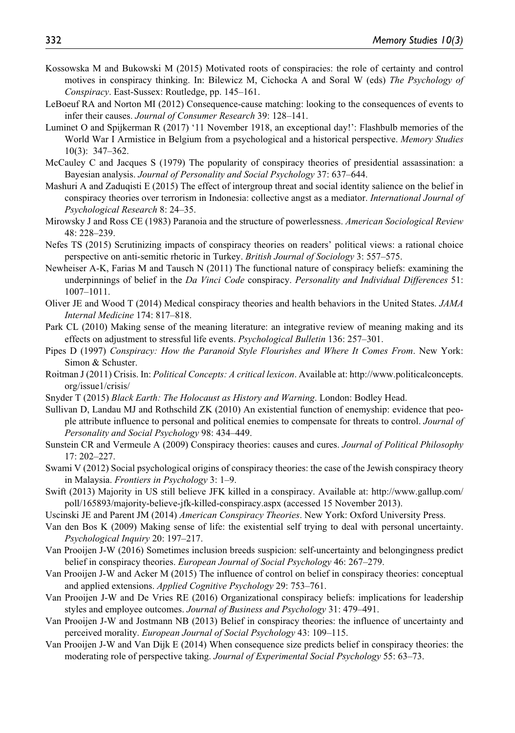- Kossowska M and Bukowski M (2015) Motivated roots of conspiracies: the role of certainty and control motives in conspiracy thinking. In: Bilewicz M, Cichocka A and Soral W (eds) *The Psychology of Conspiracy*. East-Sussex: Routledge, pp. 145–161.
- LeBoeuf RA and Norton MI (2012) Consequence-cause matching: looking to the consequences of events to infer their causes. *Journal of Consumer Research* 39: 128–141.
- Luminet O and Spijkerman R (2017) '11 November 1918, an exceptional day!': Flashbulb memories of the World War I Armistice in Belgium from a psychological and a historical perspective. *Memory Studies* 10(3): 347–362.
- McCauley C and Jacques S (1979) The popularity of conspiracy theories of presidential assassination: a Bayesian analysis. *Journal of Personality and Social Psychology* 37: 637–644.
- Mashuri A and Zaduqisti E (2015) The effect of intergroup threat and social identity salience on the belief in conspiracy theories over terrorism in Indonesia: collective angst as a mediator. *International Journal of Psychological Research* 8: 24–35.
- Mirowsky J and Ross CE (1983) Paranoia and the structure of powerlessness. *American Sociological Review* 48: 228–239.
- Nefes TS (2015) Scrutinizing impacts of conspiracy theories on readers' political views: a rational choice perspective on anti-semitic rhetoric in Turkey. *British Journal of Sociology* 3: 557–575.
- Newheiser A-K, Farias M and Tausch N (2011) The functional nature of conspiracy beliefs: examining the underpinnings of belief in the *Da Vinci Code* conspiracy. *Personality and Individual Differences* 51: 1007–1011.
- Oliver JE and Wood T (2014) Medical conspiracy theories and health behaviors in the United States. *JAMA Internal Medicine* 174: 817–818.
- Park CL (2010) Making sense of the meaning literature: an integrative review of meaning making and its effects on adjustment to stressful life events. *Psychological Bulletin* 136: 257–301.
- Pipes D (1997) *Conspiracy: How the Paranoid Style Flourishes and Where It Comes From*. New York: Simon & Schuster.
- Roitman J (2011) Crisis. In: *Political Concepts: A critical lexicon*. Available at: [http://www.politicalconcepts.](http://www.politicalconcepts.org/issue1/crisis/) [org/issue1/crisis/](http://www.politicalconcepts.org/issue1/crisis/)
- Snyder T (2015) *Black Earth: The Holocaust as History and Warning*. London: Bodley Head.
- Sullivan D, Landau MJ and Rothschild ZK (2010) An existential function of enemyship: evidence that people attribute influence to personal and political enemies to compensate for threats to control. *Journal of Personality and Social Psychology* 98: 434–449.
- Sunstein CR and Vermeule A (2009) Conspiracy theories: causes and cures. *Journal of Political Philosophy* 17: 202–227.
- Swami V (2012) Social psychological origins of conspiracy theories: the case of the Jewish conspiracy theory in Malaysia. *Frontiers in Psychology* 3: 1–9.
- Swift (2013) Majority in US still believe JFK killed in a conspiracy. Available at: [http://www.gallup.com/](http://www.gallup.com/poll/165893/majority-believe-jfk-killed-conspiracy.aspx) [poll/165893/majority-believe-jfk-killed-conspiracy.aspx](http://www.gallup.com/poll/165893/majority-believe-jfk-killed-conspiracy.aspx) (accessed 15 November 2013).
- Uscinski JE and Parent JM (2014) *American Conspiracy Theories*. New York: Oxford University Press.
- Van den Bos K (2009) Making sense of life: the existential self trying to deal with personal uncertainty. *Psychological Inquiry* 20: 197–217.
- Van Prooijen J-W (2016) Sometimes inclusion breeds suspicion: self-uncertainty and belongingness predict belief in conspiracy theories. *European Journal of Social Psychology* 46: 267–279.
- Van Prooijen J-W and Acker M (2015) The influence of control on belief in conspiracy theories: conceptual and applied extensions. *Applied Cognitive Psychology* 29: 753–761.
- Van Prooijen J-W and De Vries RE (2016) Organizational conspiracy beliefs: implications for leadership styles and employee outcomes. *Journal of Business and Psychology* 31: 479–491.
- Van Prooijen J-W and Jostmann NB (2013) Belief in conspiracy theories: the influence of uncertainty and perceived morality. *European Journal of Social Psychology* 43: 109–115.
- Van Prooijen J-W and Van Dijk E (2014) When consequence size predicts belief in conspiracy theories: the moderating role of perspective taking. *Journal of Experimental Social Psychology* 55: 63–73.